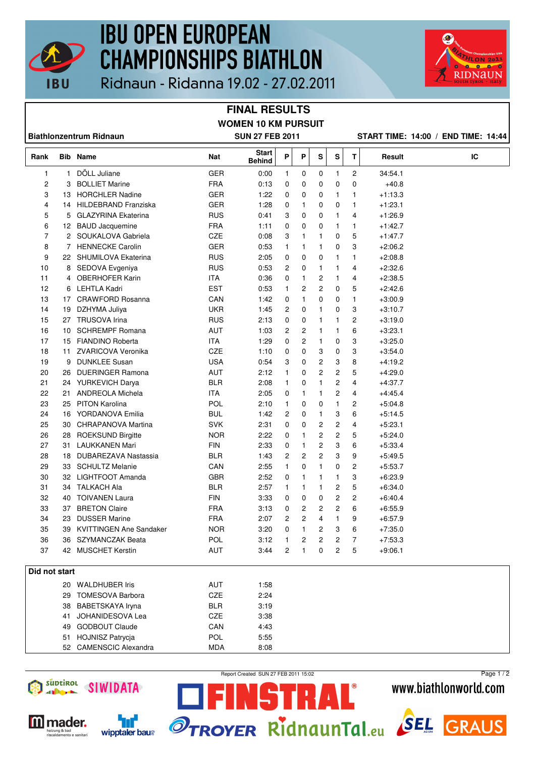

# **IBU OPEN EUROPEAN CHAMPIONSHIPS BIATHLON**



Ridnaun - Ridanna 19.02 - 27.02.2011

### **FINAL RESULTS WOMEN 10 KM PURSUIT**

| <b>Biathlonzentrum Ridnaun</b> |                 |                                |            | <b>SUN 27 FEB 2011</b> |   |                |                |   | START TIME: 14:00 / END TIME: 14:44 |           |    |
|--------------------------------|-----------------|--------------------------------|------------|------------------------|---|----------------|----------------|---|-------------------------------------|-----------|----|
| Rank                           |                 | <b>Bib Name</b>                | Nat        | Start<br><b>Behind</b> | P | P              | S              | s | T                                   | Result    | IC |
| 1                              | $\mathbf{1}$    | DÖLL Juliane                   | <b>GER</b> | 0:00                   | 1 | 0              | 0              | 1 | 2                                   | 34:54.1   |    |
| 2                              | 3               | <b>BOLLIET Marine</b>          | <b>FRA</b> | 0:13                   | 0 | 0              | 0              | 0 | 0                                   | $+40.8$   |    |
| 3                              |                 | 13 HORCHLER Nadine             | <b>GER</b> | 1:22                   | 0 | 0              | 0              | 1 | 1                                   | $+1:13.3$ |    |
| 4                              |                 | 14 HILDEBRAND Franziska        | GER        | 1:28                   | 0 | 1              | 0              | 0 | 1                                   | $+1:23.1$ |    |
| 5                              |                 | 5 GLAZYRINA Ekaterina          | RUS        | 0:41                   | 3 | 0              | 0              | 1 | 4                                   | $+1:26.9$ |    |
| 6                              |                 | 12 BAUD Jacquemine             | <b>FRA</b> | 1:11                   | 0 | 0              | 0              | 1 | 1                                   | $+1:42.7$ |    |
| 7                              |                 | 2 SOUKALOVA Gabriela           | CZE        | 0:08                   | 3 | 1              | 1              | 0 | 5                                   | $+1.47.7$ |    |
| 8                              |                 | 7 HENNECKE Carolin             | <b>GER</b> | 0:53                   | 1 | 1              | 1              | 0 | 3                                   | $+2:06.2$ |    |
| 9                              |                 | 22 SHUMILOVA Ekaterina         | <b>RUS</b> | 2:05                   | 0 | 0              | 0              | 1 | 1                                   | $+2:08.8$ |    |
| 10                             |                 | 8 SEDOVA Evgeniya              | <b>RUS</b> | 0:53                   | 2 | 0              | 1              | 1 | 4                                   | $+2:32.6$ |    |
| 11                             |                 | 4 OBERHOFER Karin              | <b>ITA</b> | 0:36                   | 0 | $\mathbf{1}$   | $\overline{c}$ | 1 | 4                                   | $+2:38.5$ |    |
| 12                             | 6               | LEHTLA Kadri                   | <b>EST</b> | 0:53                   | 1 | 2              | 2              | 0 | 5                                   | $+2:42.6$ |    |
| 13                             |                 | 17 CRAWFORD Rosanna            | CAN        | 1:42                   | 0 | $\mathbf{1}$   | 0              | 0 | $\mathbf{1}$                        | $+3:00.9$ |    |
| 14                             |                 | 19 DZHYMA Juliya               | <b>UKR</b> | 1:45                   | 2 | 0              | 1              | 0 | 3                                   | $+3:10.7$ |    |
| 15                             |                 | 27 TRUSOVA Irina               | <b>RUS</b> | 2:13                   | 0 | 0              | $\mathbf{1}$   | 1 | 2                                   | $+3:19.0$ |    |
| 16                             | 10 <sup>1</sup> | <b>SCHREMPF Romana</b>         | AUT        | 1:03                   | 2 | 2              | $\mathbf{1}$   | 1 | 6                                   | $+3:23.1$ |    |
| 17                             |                 | 15 FIANDINO Roberta            | <b>ITA</b> | 1:29                   | 0 | 2              | 1              | 0 | 3                                   | $+3:25.0$ |    |
| 18                             | 11              | ZVARICOVA Veronika             | CZE        | 1:10                   | 0 | 0              | 3              | 0 | 3                                   | $+3:54.0$ |    |
| 19                             | 9               | <b>DUNKLEE Susan</b>           | <b>USA</b> | 0:54                   | 3 | 0              | 2              | 3 | 8                                   | $+4.19.2$ |    |
| 20                             | 26              | <b>DUERINGER Ramona</b>        | AUT        | 2:12                   | 1 | 0              | 2              | 2 | 5                                   | $+4:29.0$ |    |
| 21                             |                 | 24 YURKEVICH Darya             | <b>BLR</b> | 2:08                   | 1 | 0              | $\mathbf{1}$   | 2 | 4                                   | $+4:37.7$ |    |
| 22                             | 21              | <b>ANDREOLA Michela</b>        | <b>ITA</b> | 2:05                   | 0 | 1              | 1              | 2 | 4                                   | $+4:45.4$ |    |
| 23                             |                 | 25 PITON Karolina              | POL        | 2:10                   | 1 | 0              | 0              | 1 | 2                                   | $+5.04.8$ |    |
| 24                             |                 | 16 YORDANOVA Emilia            | <b>BUL</b> | 1:42                   | 2 | 0              | 1              | 3 | 6                                   | $+5.14.5$ |    |
| 25                             | 30              | CHRAPANOVA Martina             | <b>SVK</b> | 2:31                   | 0 | 0              | 2              | 2 | 4                                   | $+5:23.1$ |    |
| 26                             |                 | 28 ROEKSUND Birgitte           | <b>NOR</b> | 2:22                   | 0 | 1              | 2              | 2 | 5                                   | $+5.24.0$ |    |
| 27                             | 31              | <b>LAUKKANEN Mari</b>          | <b>FIN</b> | 2:33                   | 0 | 1              | 2              | 3 | 6                                   | $+5.33.4$ |    |
| 28                             | 18              | DUBAREZAVA Nastassia           | <b>BLR</b> | 1:43                   | 2 | 2              | 2              | 3 | 9                                   | $+5:49.5$ |    |
|                                |                 |                                |            |                        |   |                | 1              |   |                                     |           |    |
| 29                             | 33              | <b>SCHULTZ Melanie</b>         | CAN        | 2:55                   | 1 | 0              |                | 0 | 2                                   | $+5:53.7$ |    |
| 30                             | 32              | LIGHTFOOT Amanda               | <b>GBR</b> | 2:52                   | 0 | 1              | 1              | 1 | 3                                   | +6:23.9   |    |
| 31                             | 34              | TALKACH Ala                    | <b>BLR</b> | 2:57                   | 1 | 1              | 1              | 2 | 5                                   | $+6.34.0$ |    |
| 32                             | 40              | <b>TOIVANEN Laura</b>          | <b>FIN</b> | 3:33                   | 0 | 0              | 0              | 2 | 2                                   | $+6.40.4$ |    |
| 33                             | 37              | <b>BRETON Claire</b>           | <b>FRA</b> | 3:13                   | 0 | 2              | 2              | 2 | 6                                   | $+6.55.9$ |    |
| 34                             | 23              | <b>DUSSER Marine</b>           | <b>FRA</b> | 2:07                   | 2 | $\overline{c}$ | 4              | 1 | 9                                   | $+6.57.9$ |    |
| 35                             | 39              | <b>KVITTINGEN Ane Sandaker</b> | <b>NOR</b> | 3:20                   | 0 | $\mathbf{1}$   | 2              | 3 | 6                                   | $+7:35.0$ |    |
| 36                             |                 | 36 SZYMANCZAK Beata            | <b>POL</b> | 3:12                   | 1 | 2              | 2              | 2 | 7                                   | $+7:53.3$ |    |
| 37                             |                 | 42 MUSCHET Kerstin             | <b>AUT</b> | 3:44                   | 2 | 1              | 0              | 2 | 5                                   | $+9:06.1$ |    |
| Did not start                  |                 |                                |            |                        |   |                |                |   |                                     |           |    |
|                                |                 | 20 WALDHUBER Iris              | AUT        | 1:58                   |   |                |                |   |                                     |           |    |
|                                |                 | 29 TOMESOVA Barbora            | CZE        | 2:24                   |   |                |                |   |                                     |           |    |
|                                |                 | 38 BABETSKAYA Iryna            | <b>BLR</b> | 3:19                   |   |                |                |   |                                     |           |    |
|                                | 41              | JOHANIDESOVA Lea               | CZE        | 3:38                   |   |                |                |   |                                     |           |    |
|                                |                 | 49 GODBOUT Claude              | CAN        | 4:43                   |   |                |                |   |                                     |           |    |
|                                |                 | 51 HOJNISZ Patrycja            | POL        | 5:55                   |   |                |                |   |                                     |           |    |
|                                |                 | 52 CAMENSCIC Alexandra         | <b>MDA</b> | 8:08                   |   |                |                |   |                                     |           |    |



'nf



Report Created SUN 27 FEB 2011 15:02

51

RAL®

### Page 1 / 2www.biathlonworld.com